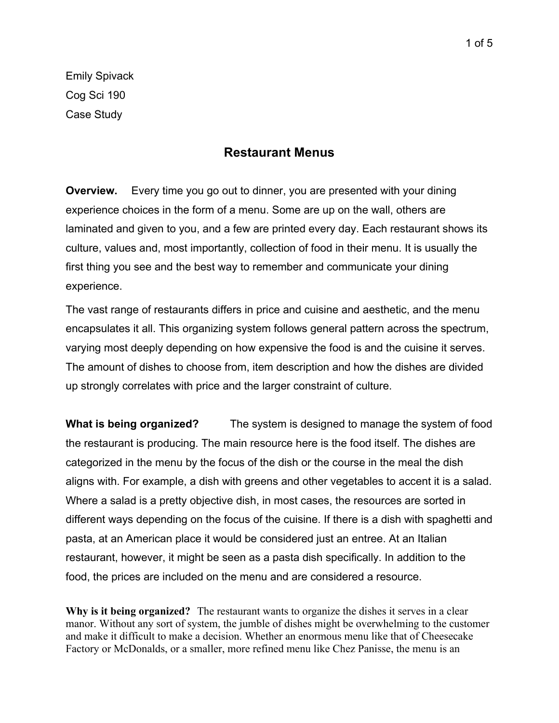Emily Spivack Cog Sci 190 Case Study

## **Restaurant Menus**

**Overview.** Every time you go out to dinner, you are presented with your dining experience choices in the form of a menu. Some are up on the wall, others are laminated and given to you, and a few are printed every day. Each restaurant shows its culture, values and, most importantly, collection of food in their menu. It is usually the first thing you see and the best way to remember and communicate your dining experience.

The vast range of restaurants differs in price and cuisine and aesthetic, and the menu encapsulates it all. This organizing system follows general pattern across the spectrum, varying most deeply depending on how expensive the food is and the cuisine it serves. The amount of dishes to choose from, item description and how the dishes are divided up strongly correlates with price and the larger constraint of culture.

**What is being organized?** The system is designed to manage the system of food the restaurant is producing. The main resource here is the food itself. The dishes are categorized in the menu by the focus of the dish or the course in the meal the dish aligns with. For example, a dish with greens and other vegetables to accent it is a salad. Where a salad is a pretty objective dish, in most cases, the resources are sorted in different ways depending on the focus of the cuisine. If there is a dish with spaghetti and pasta, at an American place it would be considered just an entree. At an Italian restaurant, however, it might be seen as a pasta dish specifically. In addition to the food, the prices are included on the menu and are considered a resource.

**Why is it being organized?** The restaurant wants to organize the dishes it serves in a clear manor. Without any sort of system, the jumble of dishes might be overwhelming to the customer and make it difficult to make a decision. Whether an enormous menu like that of Cheesecake Factory or McDonalds, or a smaller, more refined menu like Chez Panisse, the menu is an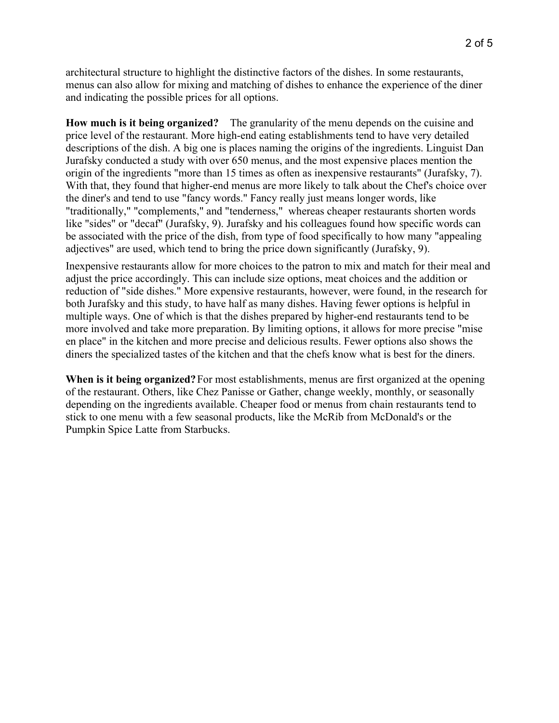architectural structure to highlight the distinctive factors of the dishes. In some restaurants, menus can also allow for mixing and matching of dishes to enhance the experience of the diner and indicating the possible prices for all options.

**How much is it being organized?** The granularity of the menu depends on the cuisine and price level of the restaurant. More high-end eating establishments tend to have very detailed descriptions of the dish. A big one is places naming the origins of the ingredients. Linguist Dan Jurafsky conducted a study with over 650 menus, and the most expensive places mention the origin of the ingredients "more than 15 times as often as inexpensive restaurants" (Jurafsky, 7). With that, they found that higher-end menus are more likely to talk about the Chef's choice over the diner's and tend to use "fancy words." Fancy really just means longer words, like "traditionally," "complements," and "tenderness," whereas cheaper restaurants shorten words like "sides" or "decaf" (Jurafsky, 9). Jurafsky and his colleagues found how specific words can be associated with the price of the dish, from type of food specifically to how many "appealing adjectives" are used, which tend to bring the price down significantly (Jurafsky, 9).

Inexpensive restaurants allow for more choices to the patron to mix and match for their meal and adjust the price accordingly. This can include size options, meat choices and the addition or reduction of "side dishes." More expensive restaurants, however, were found, in the research for both Jurafsky and this study, to have half as many dishes. Having fewer options is helpful in multiple ways. One of which is that the dishes prepared by higher-end restaurants tend to be more involved and take more preparation. By limiting options, it allows for more precise "mise en place" in the kitchen and more precise and delicious results. Fewer options also shows the diners the specialized tastes of the kitchen and that the chefs know what is best for the diners.

**When is it being organized?**For most establishments, menus are first organized at the opening of the restaurant. Others, like Chez Panisse or Gather, change weekly, monthly, or seasonally depending on the ingredients available. Cheaper food or menus from chain restaurants tend to stick to one menu with a few seasonal products, like the McRib from McDonald's or the Pumpkin Spice Latte from Starbucks.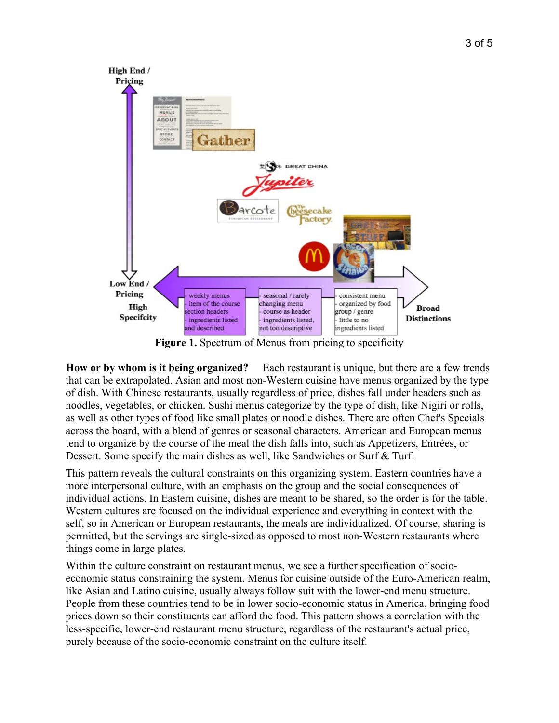

**Figure 1.** Spectrum of Menus from pricing to specificity

**How or by whom is it being organized?** Each restaurant is unique, but there are a few trends that can be extrapolated. Asian and most non-Western cuisine have menus organized by the type of dish. With Chinese restaurants, usually regardless of price, dishes fall under headers such as noodles, vegetables, or chicken. Sushi menus categorize by the type of dish, like Nigiri or rolls, as well as other types of food like small plates or noodle dishes. There are often Chef's Specials across the board, with a blend of genres or seasonal characters. American and European menus tend to organize by the course of the meal the dish falls into, such as Appetizers, Entrées, or Dessert. Some specify the main dishes as well, like Sandwiches or Surf & Turf.

This pattern reveals the cultural constraints on this organizing system. Eastern countries have a more interpersonal culture, with an emphasis on the group and the social consequences of individual actions. In Eastern cuisine, dishes are meant to be shared, so the order is for the table. Western cultures are focused on the individual experience and everything in context with the self, so in American or European restaurants, the meals are individualized. Of course, sharing is permitted, but the servings are single-sized as opposed to most non-Western restaurants where things come in large plates.

Within the culture constraint on restaurant menus, we see a further specification of socioeconomic status constraining the system. Menus for cuisine outside of the Euro-American realm, like Asian and Latino cuisine, usually always follow suit with the lower-end menu structure. People from these countries tend to be in lower socio-economic status in America, bringing food prices down so their constituents can afford the food. This pattern shows a correlation with the less-specific, lower-end restaurant menu structure, regardless of the restaurant's actual price, purely because of the socio-economic constraint on the culture itself.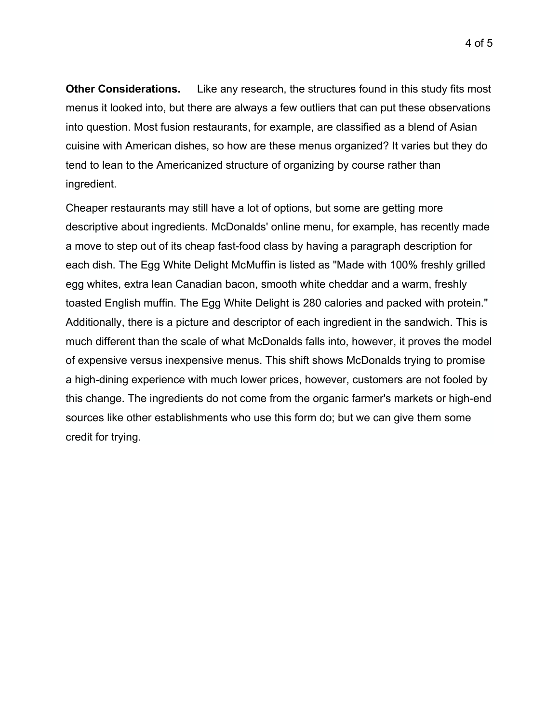**Other Considerations.** Like any research, the structures found in this study fits most menus it looked into, but there are always a few outliers that can put these observations into question. Most fusion restaurants, for example, are classified as a blend of Asian cuisine with American dishes, so how are these menus organized? It varies but they do tend to lean to the Americanized structure of organizing by course rather than ingredient.

Cheaper restaurants may still have a lot of options, but some are getting more descriptive about ingredients. McDonalds' online menu, for example, has recently made a move to step out of its cheap fast-food class by having a paragraph description for each dish. The Egg White Delight McMuffin is listed as "Made with 100% freshly grilled egg whites, extra lean Canadian bacon, smooth white cheddar and a warm, freshly toasted English muffin. The Egg White Delight is 280 calories and packed with protein." Additionally, there is a picture and descriptor of each ingredient in the sandwich. This is much different than the scale of what McDonalds falls into, however, it proves the model of expensive versus inexpensive menus. This shift shows McDonalds trying to promise a high-dining experience with much lower prices, however, customers are not fooled by this change. The ingredients do not come from the organic farmer's markets or high-end sources like other establishments who use this form do; but we can give them some credit for trying.